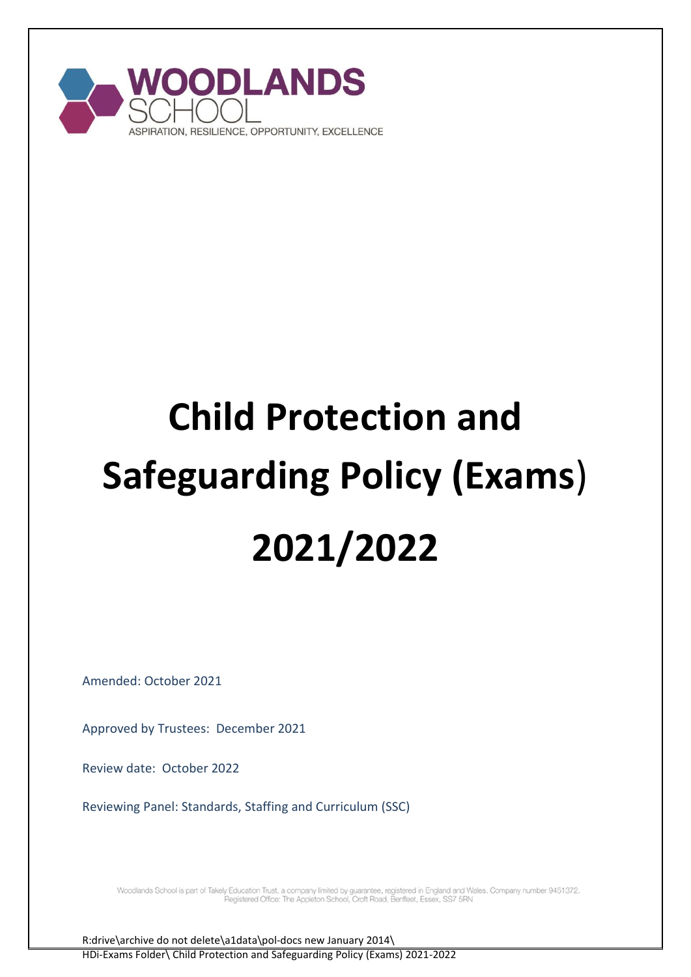

# **Child Protection and Safeguarding Policy (Exams**) **2021/2022**

Amended: October 2021

Approved by Trustees: December 2021

Review date: October 2022

Reviewing Panel: Standards, Staffing and Curriculum (SSC)

Woodlands School is part of Takely Education Trust, a company limited by guarantee, registered in England and Wales. Company number 9451372.<br>Pegistered Office: The Appleton School, Croft Road, Benfleet, Essex, SS7 5RN

R:drive\archive do not delete\a1data\pol-docs new January 2014\ HDi-Exams Folder\ Child Protection and Safeguarding Policy (Exams) 2021-2022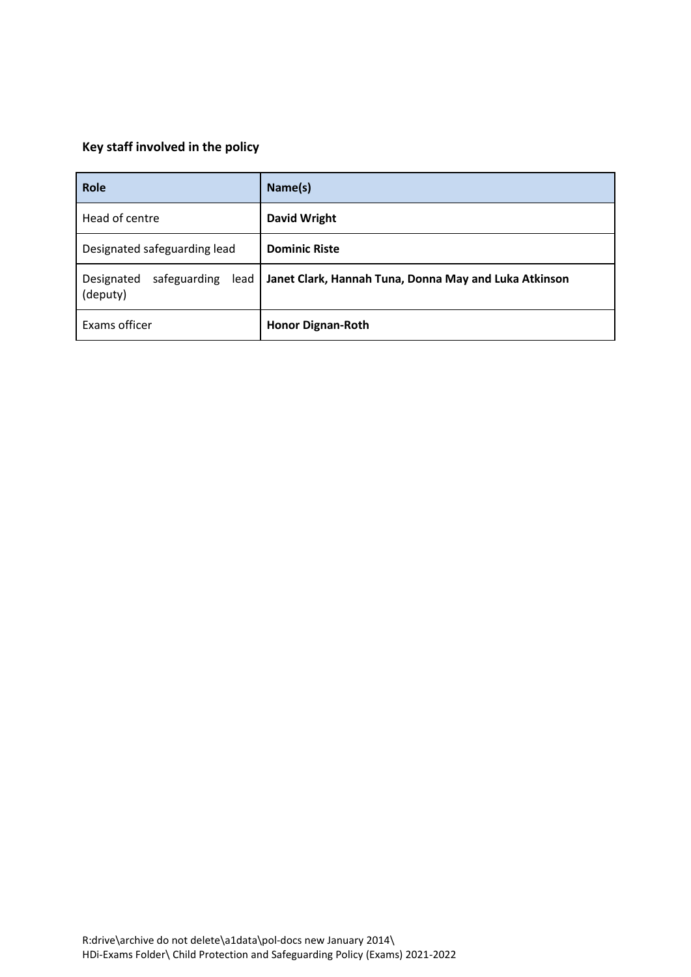# **Key staff involved in the policy**

| Role                                           | Name(s)                                               |
|------------------------------------------------|-------------------------------------------------------|
| Head of centre                                 | <b>David Wright</b>                                   |
| Designated safeguarding lead                   | <b>Dominic Riste</b>                                  |
| safeguarding<br>Designated<br>lead<br>(deputy) | Janet Clark, Hannah Tuna, Donna May and Luka Atkinson |
| Exams officer                                  | <b>Honor Dignan-Roth</b>                              |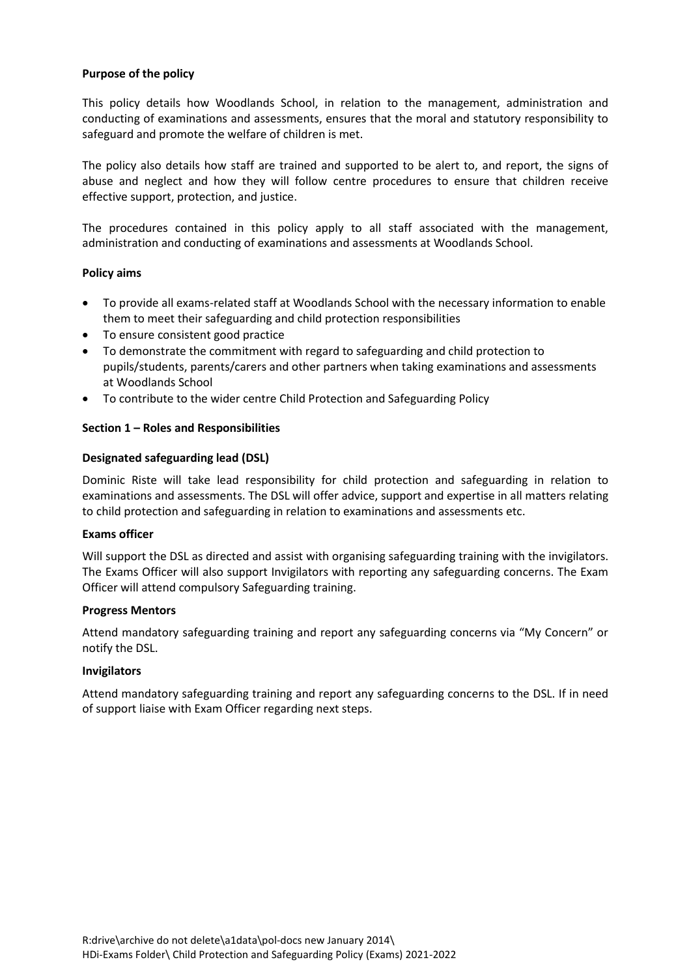# **Purpose of the policy**

This policy details how Woodlands School, in relation to the management, administration and conducting of examinations and assessments, ensures that the moral and statutory responsibility to safeguard and promote the welfare of children is met.

The policy also details how staff are trained and supported to be alert to, and report, the signs of abuse and neglect and how they will follow centre procedures to ensure that children receive effective support, protection, and justice.

The procedures contained in this policy apply to all staff associated with the management, administration and conducting of examinations and assessments at Woodlands School.

### **Policy aims**

- To provide all exams-related staff at Woodlands School with the necessary information to enable them to meet their safeguarding and child protection responsibilities
- To ensure consistent good practice
- To demonstrate the commitment with regard to safeguarding and child protection to pupils/students, parents/carers and other partners when taking examinations and assessments at Woodlands School
- To contribute to the wider centre Child Protection and Safeguarding Policy

# **Section 1 – Roles and Responsibilities**

### **Designated safeguarding lead (DSL)**

Dominic Riste will take lead responsibility for child protection and safeguarding in relation to examinations and assessments. The DSL will offer advice, support and expertise in all matters relating to child protection and safeguarding in relation to examinations and assessments etc.

### **Exams officer**

Will support the DSL as directed and assist with organising safeguarding training with the invigilators. The Exams Officer will also support Invigilators with reporting any safeguarding concerns. The Exam Officer will attend compulsory Safeguarding training.

### **Progress Mentors**

Attend mandatory safeguarding training and report any safeguarding concerns via "My Concern" or notify the DSL.

### **Invigilators**

Attend mandatory safeguarding training and report any safeguarding concerns to the DSL. If in need of support liaise with Exam Officer regarding next steps.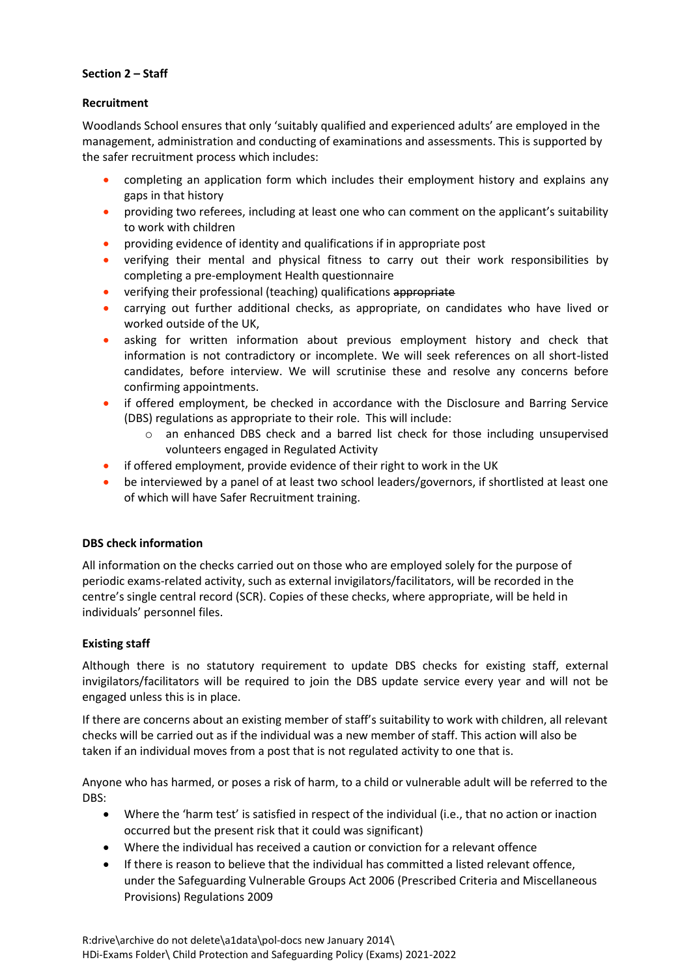# **Section 2 – Staff**

# **Recruitment**

Woodlands School ensures that only 'suitably qualified and experienced adults' are employed in the management, administration and conducting of examinations and assessments. This is supported by the safer recruitment process which includes:

- completing an application form which includes their employment history and explains any gaps in that history
- providing two referees, including at least one who can comment on the applicant's suitability to work with children
- providing evidence of identity and qualifications if in appropriate post
- verifying their mental and physical fitness to carry out their work responsibilities by completing a pre-employment Health questionnaire
- **•** verifying their professional (teaching) qualifications appropriate
- carrying out further additional checks, as appropriate, on candidates who have lived or worked outside of the UK,
- asking for written information about previous employment history and check that information is not contradictory or incomplete. We will seek references on all short-listed candidates, before interview. We will scrutinise these and resolve any concerns before confirming appointments.
- if offered employment, be checked in accordance with the Disclosure and Barring Service (DBS) regulations as appropriate to their role. This will include:
	- o an enhanced DBS check and a barred list check for those including unsupervised volunteers engaged in Regulated Activity
- if offered employment, provide evidence of their right to work in the UK
- be interviewed by a panel of at least two school leaders/governors, if shortlisted at least one of which will have Safer Recruitment training.

# **DBS check information**

All information on the checks carried out on those who are employed solely for the purpose of periodic exams-related activity, such as external invigilators/facilitators, will be recorded in the centre's single central record (SCR). Copies of these checks, where appropriate, will be held in individuals' personnel files.

# **Existing staff**

Although there is no statutory requirement to update DBS checks for existing staff, external invigilators/facilitators will be required to join the DBS update service every year and will not be engaged unless this is in place.

If there are concerns about an existing member of staff's suitability to work with children, all relevant checks will be carried out as if the individual was a new member of staff. This action will also be taken if an individual moves from a post that is not regulated activity to one that is.

Anyone who has harmed, or poses a risk of harm, to a child or vulnerable adult will be referred to the DBS:

- Where the 'harm test' is satisfied in respect of the individual (i.e., that no action or inaction occurred but the present risk that it could was significant)
- Where the individual has received a caution or conviction for a relevant offence
- If there is reason to believe that the individual has committed a listed relevant offence, under the Safeguarding Vulnerable Groups Act 2006 (Prescribed Criteria and Miscellaneous Provisions) Regulations 2009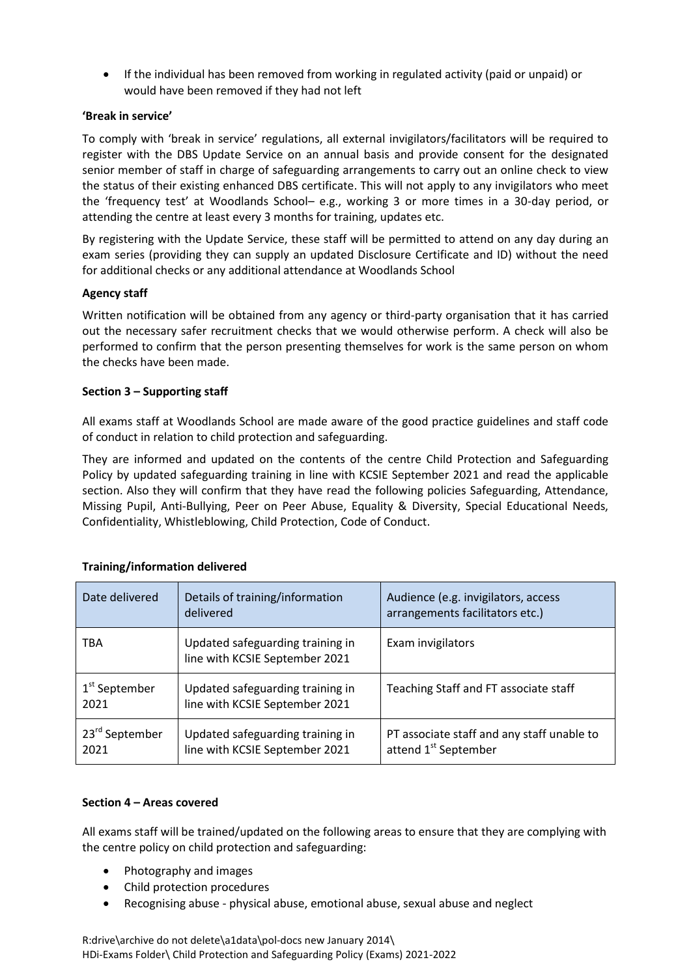If the individual has been removed from working in regulated activity (paid or unpaid) or would have been removed if they had not left

# **'Break in service'**

To comply with 'break in service' regulations, all external invigilators/facilitators will be required to register with the DBS Update Service on an annual basis and provide consent for the designated senior member of staff in charge of safeguarding arrangements to carry out an online check to view the status of their existing enhanced DBS certificate. This will not apply to any invigilators who meet the 'frequency test' at Woodlands School– e.g., working 3 or more times in a 30-day period, or attending the centre at least every 3 months for training, updates etc.

By registering with the Update Service, these staff will be permitted to attend on any day during an exam series (providing they can supply an updated Disclosure Certificate and ID) without the need for additional checks or any additional attendance at Woodlands School

# **Agency staff**

Written notification will be obtained from any agency or third-party organisation that it has carried out the necessary safer recruitment checks that we would otherwise perform. A check will also be performed to confirm that the person presenting themselves for work is the same person on whom the checks have been made.

# **Section 3 – Supporting staff**

All exams staff at Woodlands School are made aware of the good practice guidelines and staff code of conduct in relation to child protection and safeguarding.

They are informed and updated on the contents of the centre Child Protection and Safeguarding Policy by updated safeguarding training in line with KCSIE September 2021 and read the applicable section. Also they will confirm that they have read the following policies Safeguarding, Attendance, Missing Pupil, Anti-Bullying, Peer on Peer Abuse, Equality & Diversity, Special Educational Needs, Confidentiality, Whistleblowing, Child Protection, Code of Conduct.

| Date delivered                     | Details of training/information<br>delivered                       | Audience (e.g. invigilators, access<br>arrangements facilitators etc.)         |
|------------------------------------|--------------------------------------------------------------------|--------------------------------------------------------------------------------|
| <b>TBA</b>                         | Updated safeguarding training in<br>line with KCSIE September 2021 | Exam invigilators                                                              |
| 1 <sup>st</sup> September<br>2021  | Updated safeguarding training in<br>line with KCSIE September 2021 | Teaching Staff and FT associate staff                                          |
| 23 <sup>rd</sup> September<br>2021 | Updated safeguarding training in<br>line with KCSIE September 2021 | PT associate staff and any staff unable to<br>attend 1 <sup>st</sup> September |

# **Training/information delivered**

### **Section 4 – Areas covered**

All exams staff will be trained/updated on the following areas to ensure that they are complying with the centre policy on child protection and safeguarding:

- Photography and images
- Child protection procedures
- Recognising abuse physical abuse, emotional abuse, sexual abuse and neglect

R:drive\archive do not delete\a1data\pol-docs new January 2014\ HDi-Exams Folder\ Child Protection and Safeguarding Policy (Exams) 2021-2022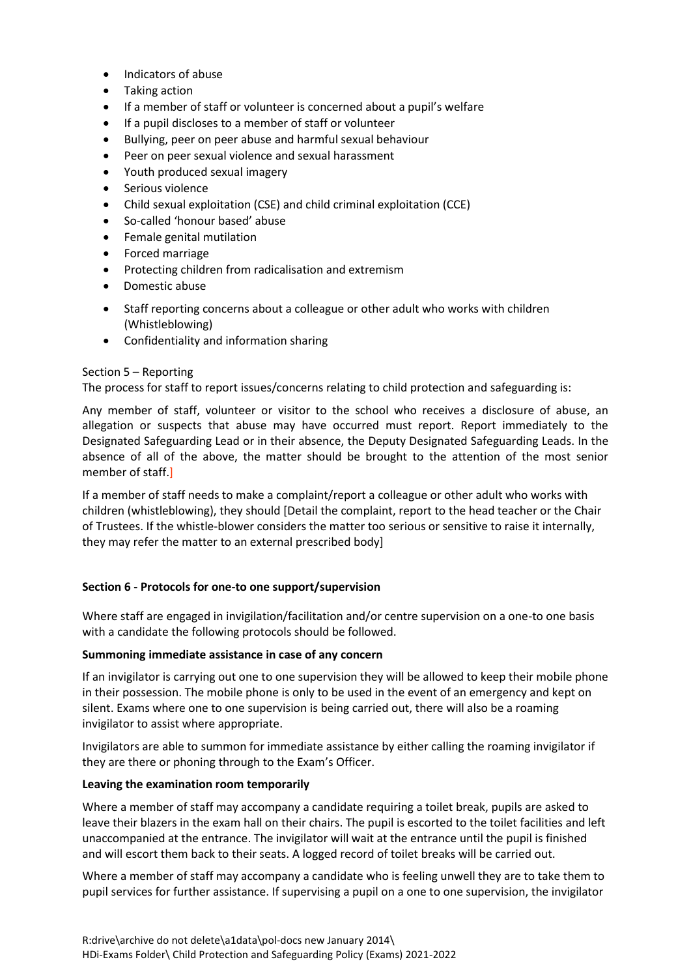- Indicators of abuse
- Taking action
- If a member of staff or volunteer is concerned about a pupil's welfare
- If a pupil discloses to a member of staff or volunteer
- Bullying, peer on peer abuse and harmful sexual behaviour
- Peer on peer sexual violence and sexual harassment
- Youth produced sexual imagery
- Serious violence
- Child sexual exploitation (CSE) and child criminal exploitation (CCE)
- So-called 'honour based' abuse
- Female genital mutilation
- Forced marriage
- Protecting children from radicalisation and extremism
- Domestic abuse
- Staff reporting concerns about a colleague or other adult who works with children (Whistleblowing)
- Confidentiality and information sharing

### Section 5 – Reporting

The process for staff to report issues/concerns relating to child protection and safeguarding is:

Any member of staff, volunteer or visitor to the school who receives a disclosure of abuse, an allegation or suspects that abuse may have occurred must report. Report immediately to the Designated Safeguarding Lead or in their absence, the Deputy Designated Safeguarding Leads. In the absence of all of the above, the matter should be brought to the attention of the most senior member of staff.]

If a member of staff needs to make a complaint/report a colleague or other adult who works with children (whistleblowing), they should [Detail the complaint, report to the head teacher or the Chair of Trustees. If the whistle-blower considers the matter too serious or sensitive to raise it internally, they may refer the matter to an external prescribed body]

### **Section 6 - Protocols for one-to one support/supervision**

Where staff are engaged in invigilation/facilitation and/or centre supervision on a one-to one basis with a candidate the following protocols should be followed.

#### **Summoning immediate assistance in case of any concern**

If an invigilator is carrying out one to one supervision they will be allowed to keep their mobile phone in their possession. The mobile phone is only to be used in the event of an emergency and kept on silent. Exams where one to one supervision is being carried out, there will also be a roaming invigilator to assist where appropriate.

Invigilators are able to summon for immediate assistance by either calling the roaming invigilator if they are there or phoning through to the Exam's Officer.

#### **Leaving the examination room temporarily**

Where a member of staff may accompany a candidate requiring a toilet break, pupils are asked to leave their blazers in the exam hall on their chairs. The pupil is escorted to the toilet facilities and left unaccompanied at the entrance. The invigilator will wait at the entrance until the pupil is finished and will escort them back to their seats. A logged record of toilet breaks will be carried out.

Where a member of staff may accompany a candidate who is feeling unwell they are to take them to pupil services for further assistance. If supervising a pupil on a one to one supervision, the invigilator